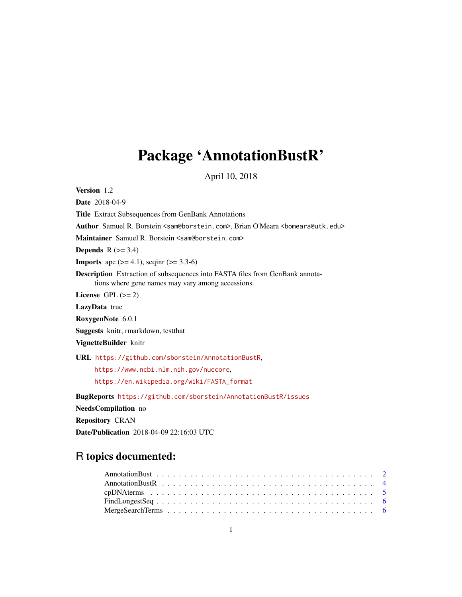# Package 'AnnotationBustR'

April 10, 2018

Version 1.2

Date 2018-04-9 Title Extract Subsequences from GenBank Annotations Author Samuel R. Borstein <sam@borstein.com>, Brian O'Meara <br/>bomeara@utk.edu> Maintainer Samuel R. Borstein <sam@borstein.com> Depends  $R$  ( $>= 3.4$ ) **Imports** ape  $(>= 4.1)$ , seqinr  $(>= 3.3-6)$ Description Extraction of subsequences into FASTA files from GenBank annotations where gene names may vary among accessions. License GPL  $(>= 2)$ LazyData true RoxygenNote 6.0.1 Suggests knitr, rmarkdown, testthat VignetteBuilder knitr URL <https://github.com/sborstein/AnnotationBustR>, <https://www.ncbi.nlm.nih.gov/nuccore>, [https://en.wikipedia.org/wiki/FASTA\\_format](https://en.wikipedia.org/wiki/FASTA_format) BugReports <https://github.com/sborstein/AnnotationBustR/issues> NeedsCompilation no Repository CRAN

Date/Publication 2018-04-09 22:16:03 UTC

# R topics documented: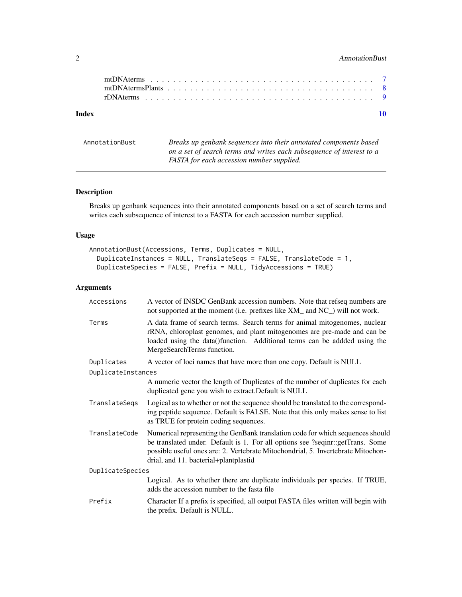# <span id="page-1-0"></span>2 AnnotationBust

| Index |  |  |  |  |  |  |  |  |  |  |  |  |  |  |  |  |  |
|-------|--|--|--|--|--|--|--|--|--|--|--|--|--|--|--|--|--|
|       |  |  |  |  |  |  |  |  |  |  |  |  |  |  |  |  |  |
|       |  |  |  |  |  |  |  |  |  |  |  |  |  |  |  |  |  |
|       |  |  |  |  |  |  |  |  |  |  |  |  |  |  |  |  |  |

<span id="page-1-1"></span>

| AnnotationBust | Breaks up genbank sequences into their annotated components based     |
|----------------|-----------------------------------------------------------------------|
|                | on a set of search terms and writes each subsequence of interest to a |
|                | FASTA for each accession number supplied.                             |

# Description

Breaks up genbank sequences into their annotated components based on a set of search terms and writes each subsequence of interest to a FASTA for each accession number supplied.

#### Usage

```
AnnotationBust(Accessions, Terms, Duplicates = NULL,
 DuplicateInstances = NULL, TranslateSeqs = FALSE, TranslateCode = 1,
 DuplicateSpecies = FALSE, Prefix = NULL, TidyAccessions = TRUE)
```
# Arguments

| Accessions         | A vector of INSDC GenBank accession numbers. Note that refseq numbers are<br>not supported at the moment (i.e. prefixes like XM_ and NC_) will not work.                                                                                                                                      |
|--------------------|-----------------------------------------------------------------------------------------------------------------------------------------------------------------------------------------------------------------------------------------------------------------------------------------------|
| Terms              | A data frame of search terms. Search terms for animal mitogenomes, nuclear<br>rRNA, chloroplast genomes, and plant mitogenomes are pre-made and can be<br>loaded using the data()function. Additional terms can be addded using the<br>MergeSearchTerms function.                             |
| Duplicates         | A vector of loci names that have more than one copy. Default is NULL                                                                                                                                                                                                                          |
| DuplicateInstances |                                                                                                                                                                                                                                                                                               |
|                    | A numeric vector the length of Duplicates of the number of duplicates for each<br>duplicated gene you wish to extract. Default is NULL                                                                                                                                                        |
| TranslateSeqs      | Logical as to whether or not the sequence should be translated to the correspond-<br>ing peptide sequence. Default is FALSE. Note that this only makes sense to list<br>as TRUE for protein coding sequences.                                                                                 |
| TranslateCode      | Numerical representing the GenBank translation code for which sequences should<br>be translated under. Default is 1. For all options see ?seqinr::getTrans. Some<br>possible useful ones are: 2. Vertebrate Mitochondrial, 5. Invertebrate Mitochon-<br>drial, and 11. bacterial+plantplastid |
| DuplicateSpecies   |                                                                                                                                                                                                                                                                                               |
|                    | Logical. As to whether there are duplicate individuals per species. If TRUE,<br>adds the accession number to the fasta file                                                                                                                                                                   |
| Prefix             | Character If a prefix is specified, all output FASTA files written will begin with<br>the prefix. Default is NULL.                                                                                                                                                                            |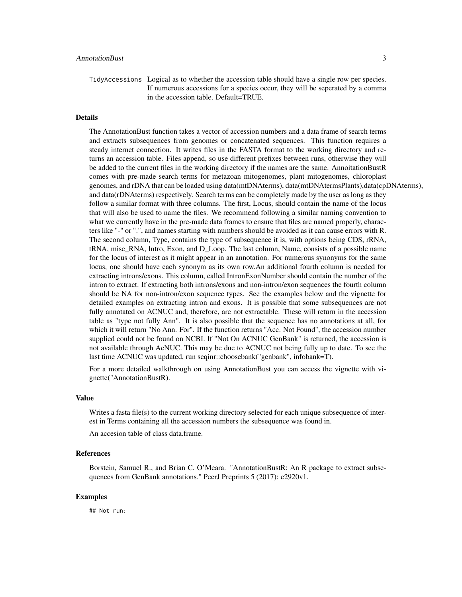# AnnotationBust 3

TidyAccessions Logical as to whether the accession table should have a single row per species. If numerous accessions for a species occur, they will be seperated by a comma in the accession table. Default=TRUE.

#### Details

The AnnotationBust function takes a vector of accession numbers and a data frame of search terms and extracts subsequences from genomes or concatenated sequences. This function requires a steady internet connection. It writes files in the FASTA format to the working directory and returns an accession table. Files append, so use different prefixes between runs, otherwise they will be added to the current files in the working directory if the names are the same. AnnoitationBustR comes with pre-made search terms for metazoan mitogenomes, plant mitogenomes, chloroplast genomes, and rDNA that can be loaded using data(mtDNAterms), data(mtDNAtermsPlants),data(cpDNAterms), and data(rDNAterms) respectively. Search terms can be completely made by the user as long as they follow a similar format with three columns. The first, Locus, should contain the name of the locus that will also be used to name the files. We recommend following a similar naming convention to what we currently have in the pre-made data frames to ensure that files are named properly, characters like "-" or ".", and names starting with numbers should be avoided as it can cause errors with R. The second column, Type, contains the type of subsequence it is, with options being CDS, rRNA, tRNA, misc\_RNA, Intro, Exon, and D\_Loop. The last column, Name, consists of a possible name for the locus of interest as it might appear in an annotation. For numerous synonyms for the same locus, one should have each synonym as its own row.An additional fourth column is needed for extracting introns/exons. This column, called IntronExonNumber should contain the number of the intron to extract. If extracting both introns/exons and non-intron/exon sequences the fourth column should be NA for non-intron/exon sequence types. See the examples below and the vignette for detailed examples on extracting intron and exons. It is possible that some subsequences are not fully annotated on ACNUC and, therefore, are not extractable. These will return in the accession table as "type not fully Ann". It is also possible that the sequence has no annotations at all, for which it will return "No Ann. For". If the function returns "Acc. Not Found", the accession number supplied could not be found on NCBI. If "Not On ACNUC GenBank" is returned, the accession is not available through AcNUC. This may be due to ACNUC not being fully up to date. To see the last time ACNUC was updated, run seqinr::choosebank("genbank", infobank=T).

For a more detailed walkthrough on using AnnotationBust you can access the vignette with vignette("AnnotationBustR).

### Value

Writes a fasta file(s) to the current working directory selected for each unique subsequence of interest in Terms containing all the accession numbers the subsequence was found in.

An accesion table of class data.frame.

#### References

Borstein, Samuel R., and Brian C. O'Meara. "AnnotationBustR: An R package to extract subsequences from GenBank annotations." PeerJ Preprints 5 (2017): e2920v1.

#### Examples

## Not run: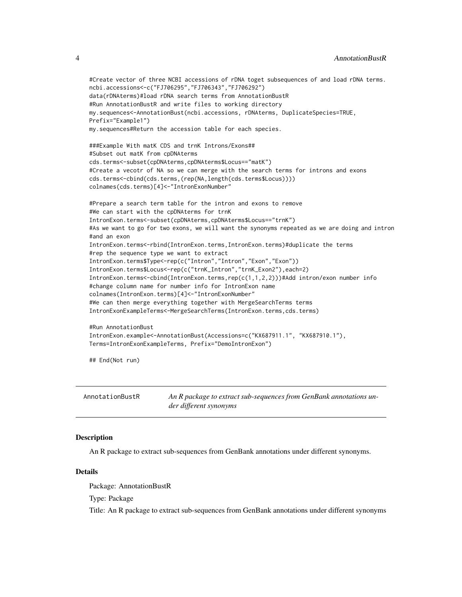```
#Create vector of three NCBI accessions of rDNA toget subsequences of and load rDNA terms.
ncbi.accessions<-c("FJ706295","FJ706343","FJ706292")
data(rDNAterms)#load rDNA search terms from AnnotationBustR
#Run AnnotationBustR and write files to working directory
my.sequences<-AnnotationBust(ncbi.accessions, rDNAterms, DuplicateSpecies=TRUE,
Prefix="Example1")
my.sequences#Return the accession table for each species.
###Example With matK CDS and trnK Introns/Exons##
#Subset out matK from cpDNAterms
cds.terms<-subset(cpDNAterms,cpDNAterms$Locus=="matK")
#Create a vecotr of NA so we can merge with the search terms for introns and exons
cds.terms<-cbind(cds.terms,(rep(NA,length(cds.terms$Locus))))
colnames(cds.terms)[4]<-"IntronExonNumber"
#Prepare a search term table for the intron and exons to remove
#We can start with the cpDNAterms for trnK
IntronExon.terms<-subset(cpDNAterms,cpDNAterms$Locus=="trnK")
#As we want to go for two exons, we will want the synonyms repeated as we are doing and intron
#and an exon
IntronExon.terms<-rbind(IntronExon.terms,IntronExon.terms)#duplicate the terms
#rep the sequence type we want to extract
IntronExon.terms$Type<-rep(c("Intron","Intron","Exon","Exon"))
IntronExon.terms$Locus<-rep(c("trnK_Intron","trnK_Exon2"),each=2)
IntronExon.terms<-cbind(IntronExon.terms,rep(c(1,1,2,2)))#Add intron/exon number info
#change column name for number info for IntronExon name
colnames(IntronExon.terms)[4]<-"IntronExonNumber"
#We can then merge everything together with MergeSearchTerms terms
IntronExonExampleTerms<-MergeSearchTerms(IntronExon.terms,cds.terms)
#Run AnnotationBust
IntronExon.example<-AnnotationBust(Accessions=c("KX687911.1", "KX687910.1"),
Terms=IntronExonExampleTerms, Prefix="DemoIntronExon")
```
## End(Not run)

AnnotationBustR *An R package to extract sub-sequences from GenBank annotations under different synonyms*

#### **Description**

An R package to extract sub-sequences from GenBank annotations under different synonyms.

#### Details

Package: AnnotationBustR

Type: Package

Title: An R package to extract sub-sequences from GenBank annotations under different synonyms

<span id="page-3-0"></span>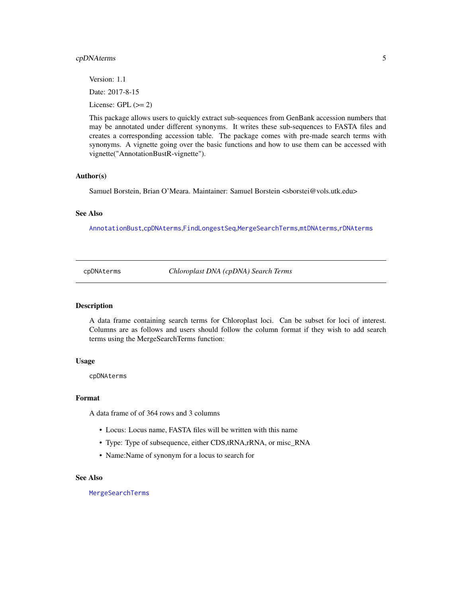### <span id="page-4-0"></span>cpDNAterms 5

Version: 1.1 Date: 2017-8-15 License: GPL  $(>= 2)$ 

This package allows users to quickly extract sub-sequences from GenBank accession numbers that may be annotated under different synonyms. It writes these sub-sequences to FASTA files and creates a corresponding accession table. The package comes with pre-made search terms with synonyms. A vignette going over the basic functions and how to use them can be accessed with vignette("AnnotationBustR-vignette").

#### Author(s)

Samuel Borstein, Brian O'Meara. Maintainer: Samuel Borstein <sborstei@vols.utk.edu>

#### See Also

[AnnotationBust](#page-1-1),[cpDNAterms](#page-4-1),[FindLongestSeq](#page-5-1),[MergeSearchTerms](#page-5-2),[mtDNAterms](#page-6-1),[rDNAterms](#page-8-1)

<span id="page-4-1"></span>cpDNAterms *Chloroplast DNA (cpDNA) Search Terms*

#### Description

A data frame containing search terms for Chloroplast loci. Can be subset for loci of interest. Columns are as follows and users should follow the column format if they wish to add search terms using the MergeSearchTerms function:

#### Usage

cpDNAterms

#### Format

A data frame of of 364 rows and 3 columns

- Locus: Locus name, FASTA files will be written with this name
- Type: Type of subsequence, either CDS,tRNA,rRNA, or misc\_RNA
- Name:Name of synonym for a locus to search for

# See Also

[MergeSearchTerms](#page-5-2)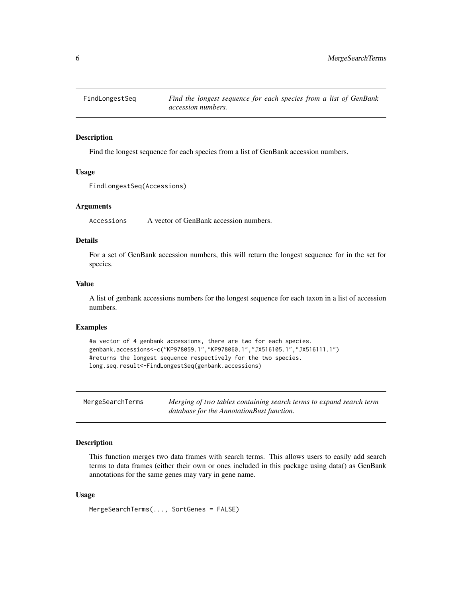<span id="page-5-1"></span><span id="page-5-0"></span>

# Description

Find the longest sequence for each species from a list of GenBank accession numbers.

#### Usage

```
FindLongestSeq(Accessions)
```
#### Arguments

Accessions A vector of GenBank accession numbers.

# Details

For a set of GenBank accession numbers, this will return the longest sequence for in the set for species.

#### Value

A list of genbank accessions numbers for the longest sequence for each taxon in a list of accession numbers.

#### Examples

```
#a vector of 4 genbank accessions, there are two for each species.
genbank.accessions<-c("KP978059.1","KP978060.1","JX516105.1","JX516111.1")
#returns the longest sequence respectively for the two species.
long.seq.result<-FindLongestSeq(genbank.accessions)
```
<span id="page-5-2"></span>

| MergeSearchTerms | Merging of two tables containing search terms to expand search term |
|------------------|---------------------------------------------------------------------|
|                  | database for the AnnotationBust function.                           |

### Description

This function merges two data frames with search terms. This allows users to easily add search terms to data frames (either their own or ones included in this package using data() as GenBank annotations for the same genes may vary in gene name.

#### Usage

```
MergeSearchTerms(..., SortGenes = FALSE)
```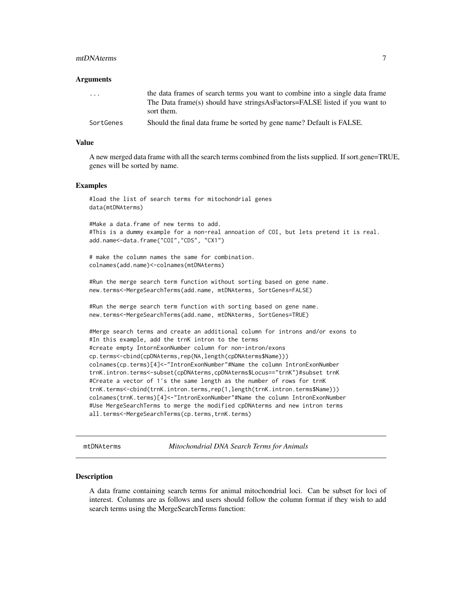#### <span id="page-6-0"></span>mtDNAterms 7

#### Arguments

| $\cdot$ $\cdot$ $\cdot$ | the data frames of search terms you want to combine into a single data frame               |
|-------------------------|--------------------------------------------------------------------------------------------|
|                         | The Data frame(s) should have strings As Factors=FALSE listed if you want to<br>sort them. |
| SortGenes               | Should the final data frame be sorted by gene name? Default is FALSE.                      |

#### Value

A new merged data frame with all the search terms combined from the lists supplied. If sort.gene=TRUE, genes will be sorted by name.

#### Examples

```
#load the list of search terms for mitochondrial genes
data(mtDNAterms)
```
#Make a data.frame of new terms to add. #This is a dummy example for a non-real annoation of COI, but lets pretend it is real. add.name<-data.frame("COI","CDS", "CX1")

# make the column names the same for combination. colnames(add.name)<-colnames(mtDNAterms)

#Run the merge search term function without sorting based on gene name. new.terms<-MergeSearchTerms(add.name, mtDNAterms, SortGenes=FALSE)

#Run the merge search term function with sorting based on gene name. new.terms<-MergeSearchTerms(add.name, mtDNAterms, SortGenes=TRUE)

#Merge search terms and create an additional column for introns and/or exons to #In this example, add the trnK intron to the terms #create empty IntornExonNumber column for non-intron/exons cp.terms<-cbind(cpDNAterms,rep(NA,length(cpDNAterms\$Name))) colnames(cp.terms)[4]<-"IntronExonNumber"#Name the column IntronExonNumber trnK.intron.terms<-subset(cpDNAterms,cpDNAterms\$Locus=="trnK")#subset trnK #Create a vector of 1's the same length as the number of rows for trnK trnK.terms<-cbind(trnK.intron.terms,rep(1,length(trnK.intron.terms\$Name))) colnames(trnK.terms)[4]<-"IntronExonNumber"#Name the column IntronExonNumber #Use MergeSearchTerms to merge the modified cpDNAterms and new intron terms all.terms<-MergeSearchTerms(cp.terms,trnK.terms)

<span id="page-6-1"></span>mtDNAterms *Mitochondrial DNA Search Terms for Animals*

#### Description

A data frame containing search terms for animal mitochondrial loci. Can be subset for loci of interest. Columns are as follows and users should follow the column format if they wish to add search terms using the MergeSearchTerms function: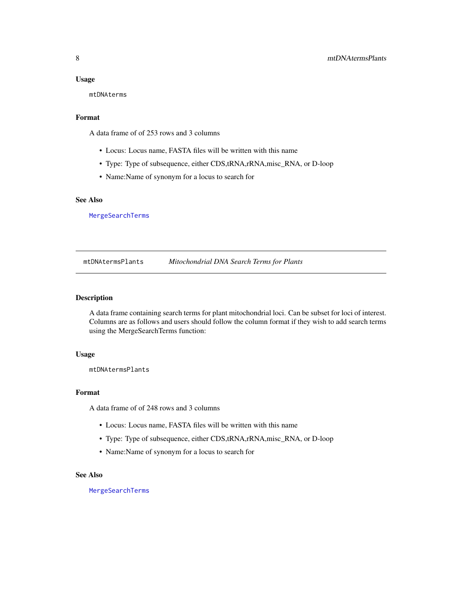#### <span id="page-7-0"></span>Usage

mtDNAterms

# Format

A data frame of of 253 rows and 3 columns

- Locus: Locus name, FASTA files will be written with this name
- Type: Type of subsequence, either CDS,tRNA,rRNA,misc\_RNA, or D-loop
- Name:Name of synonym for a locus to search for

#### See Also

[MergeSearchTerms](#page-5-2)

mtDNAtermsPlants *Mitochondrial DNA Search Terms for Plants*

#### Description

A data frame containing search terms for plant mitochondrial loci. Can be subset for loci of interest. Columns are as follows and users should follow the column format if they wish to add search terms using the MergeSearchTerms function:

#### Usage

mtDNAtermsPlants

#### Format

A data frame of of 248 rows and 3 columns

- Locus: Locus name, FASTA files will be written with this name
- Type: Type of subsequence, either CDS,tRNA,rRNA,misc\_RNA, or D-loop
- Name:Name of synonym for a locus to search for

#### See Also

[MergeSearchTerms](#page-5-2)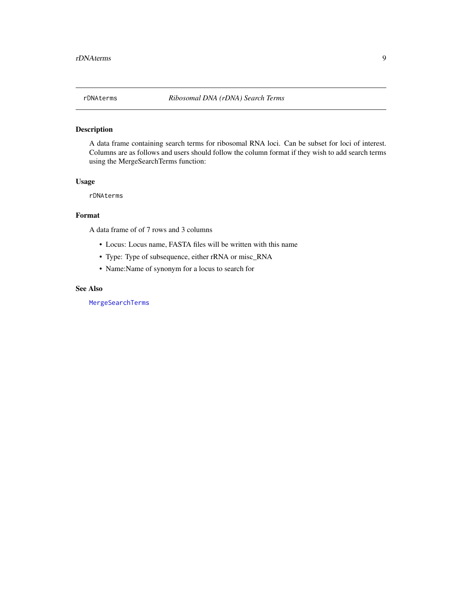<span id="page-8-1"></span><span id="page-8-0"></span>

# Description

A data frame containing search terms for ribosomal RNA loci. Can be subset for loci of interest. Columns are as follows and users should follow the column format if they wish to add search terms using the MergeSearchTerms function:

#### Usage

rDNAterms

# Format

A data frame of of 7 rows and 3 columns

- Locus: Locus name, FASTA files will be written with this name
- Type: Type of subsequence, either rRNA or misc\_RNA
- Name:Name of synonym for a locus to search for

#### See Also

[MergeSearchTerms](#page-5-2)